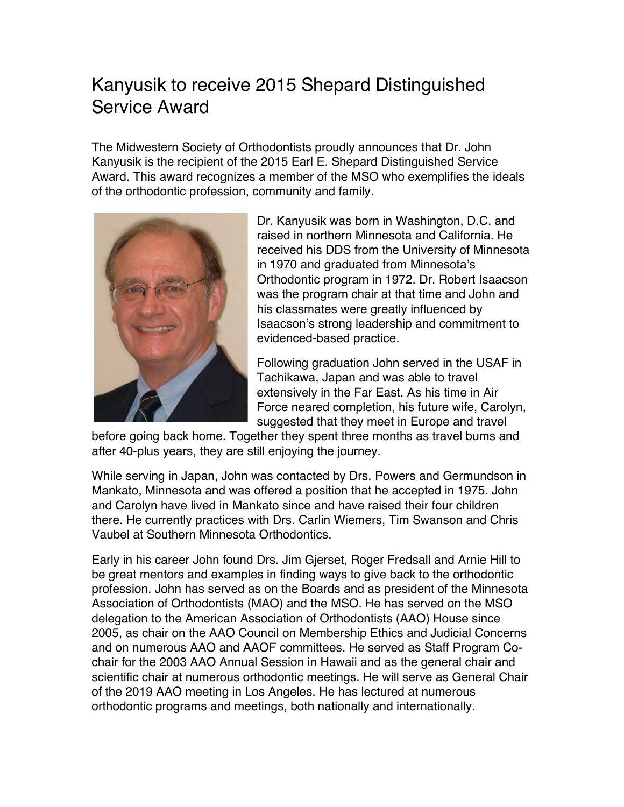## Kanyusik to receive 2015 Shepard Distinguished Service Award

The Midwestern Society of Orthodontists proudly announces that Dr. John Kanyusik is the recipient of the 2015 Earl E. Shepard Distinguished Service Award. This award recognizes a member of the MSO who exemplifies the ideals of the orthodontic profession, community and family.



Dr. Kanyusik was born in Washington, D.C. and raised in northern Minnesota and California. He received his DDS from the University of Minnesota in 1970 and graduated from Minnesota's Orthodontic program in 1972. Dr. Robert Isaacson was the program chair at that time and John and his classmates were greatly influenced by Isaacson's strong leadership and commitment to evidenced-based practice.

Following graduation John served in the USAF in Tachikawa, Japan and was able to travel extensively in the Far East. As his time in Air Force neared completion, his future wife, Carolyn, suggested that they meet in Europe and travel

before going back home. Together they spent three months as travel bums and after 40-plus years, they are still enjoying the journey.

While serving in Japan, John was contacted by Drs. Powers and Germundson in Mankato, Minnesota and was offered a position that he accepted in 1975. John and Carolyn have lived in Mankato since and have raised their four children there. He currently practices with Drs. Carlin Wiemers, Tim Swanson and Chris Vaubel at Southern Minnesota Orthodontics.

Early in his career John found Drs. Jim Gjerset, Roger Fredsall and Arnie Hill to be great mentors and examples in finding ways to give back to the orthodontic profession. John has served as on the Boards and as president of the Minnesota Association of Orthodontists (MAO) and the MSO. He has served on the MSO delegation to the American Association of Orthodontists (AAO) House since 2005, as chair on the AAO Council on Membership Ethics and Judicial Concerns and on numerous AAO and AAOF committees. He served as Staff Program Cochair for the 2003 AAO Annual Session in Hawaii and as the general chair and scientific chair at numerous orthodontic meetings. He will serve as General Chair of the 2019 AAO meeting in Los Angeles. He has lectured at numerous orthodontic programs and meetings, both nationally and internationally.